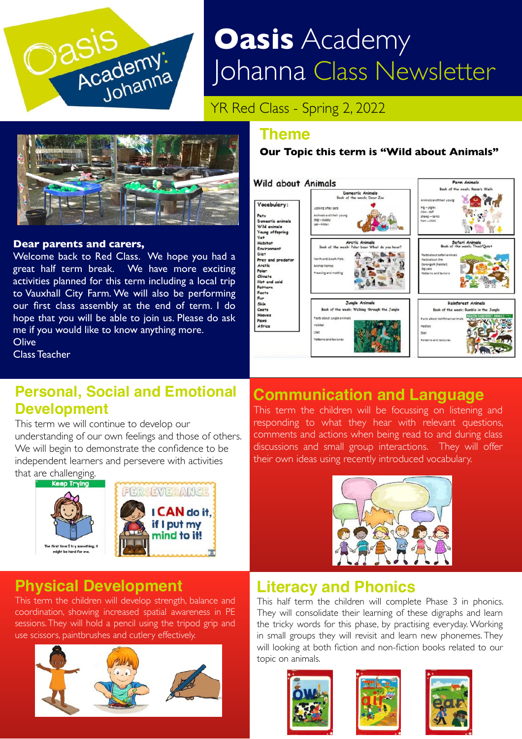

# **Oasis** Academy Johanna Class Newsletter

YR Red Class - Spring 2, 2022



#### **Dear parents and carers,**

Welcome back to Red Class. We hope you had a great half term break. We have more exciting activities planned for this term including a local trip to Vauxhall City Farm. We will also be performing our first class assembly at the end of term. I do hope that you will be able to join us. Please do ask me if you would like to know anything more. **Olive** 

Class Teacher

## **Personal, Social and Emotional Development**

#### This term we will continue to develop our

understanding of our own feelings and those of others. We will begin to demonstrate the confidence to be independent learners and persevere with activities that are challenging.



## **Physical Development**

This term the children will develop strength, balance and coordination, showing increased spatial awareness in PE sessions. They will hold a pencil using the tripod grip and use scissors, paintbrushes and cutlery effectively.



#### **Theme**

#### **Our Topic this term is "Wild about Animals"**



# **Communication and Language**

. This term the children will be focussing on listening and responding to what they hear with relevant questions, comments and actions when being read to and during class discussions and small group interactions. They will offer their own ideas using recently introduced vocabulary.



#### **Literacy and Phonics**

This half term the children will complete Phase 3 in phonics. They will consolidate their learning of these digraphs and learn the tricky words for this phase, by practising everyday. Working in small groups they will revisit and learn new phonemes. They will looking at both fiction and non-fiction books related to our topic on animals.